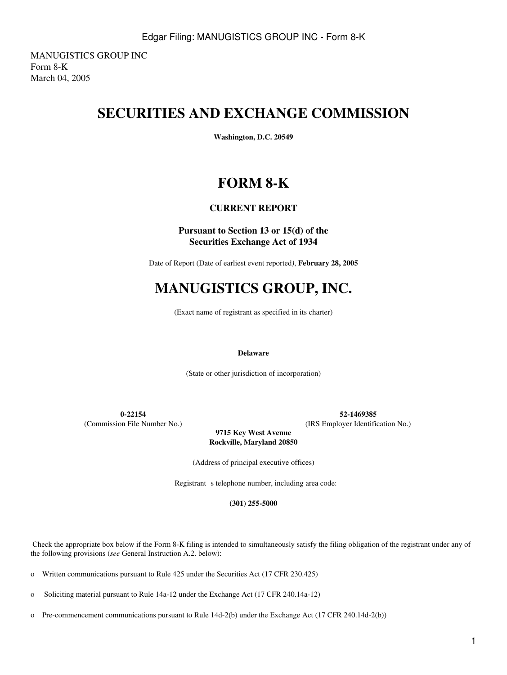MANUGISTICS GROUP INC Form 8-K March 04, 2005

# **SECURITIES AND EXCHANGE COMMISSION**

**Washington, D.C. 20549**

# **FORM 8-K**

## **CURRENT REPORT**

### **Pursuant to Section 13 or 15(d) of the Securities Exchange Act of 1934**

Date of Report (Date of earliest event reported*)*, **February 28, 2005**

# **MANUGISTICS GROUP, INC.**

(Exact name of registrant as specified in its charter)

#### **Delaware**

(State or other jurisdiction of incorporation)

**0-22154 52-1469385**

(Commission File Number No.) (IRS Employer Identification No.)

**9715 Key West Avenue Rockville, Maryland 20850**

(Address of principal executive offices)

Registrant s telephone number, including area code:

**(301) 255-5000**

 Check the appropriate box below if the Form 8-K filing is intended to simultaneously satisfy the filing obligation of the registrant under any of the following provisions (*see* General Instruction A.2. below):

o Written communications pursuant to Rule 425 under the Securities Act (17 CFR 230.425)

o Soliciting material pursuant to Rule 14a-12 under the Exchange Act (17 CFR 240.14a-12)

o Pre-commencement communications pursuant to Rule 14d-2(b) under the Exchange Act (17 CFR 240.14d-2(b))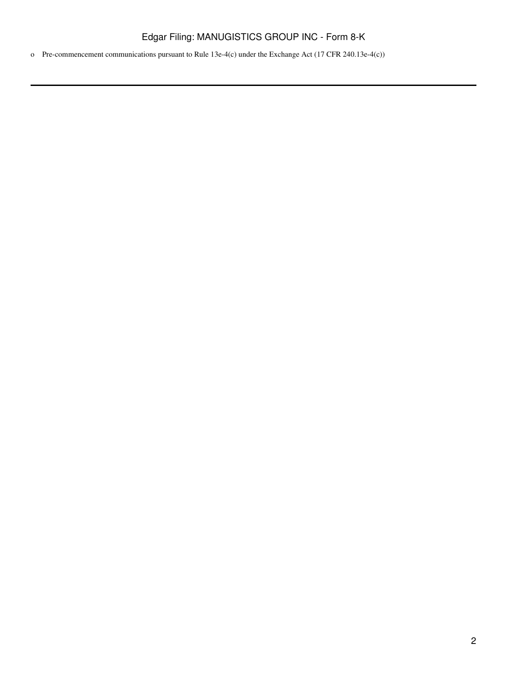o Pre-commencement communications pursuant to Rule 13e-4(c) under the Exchange Act (17 CFR 240.13e-4(c))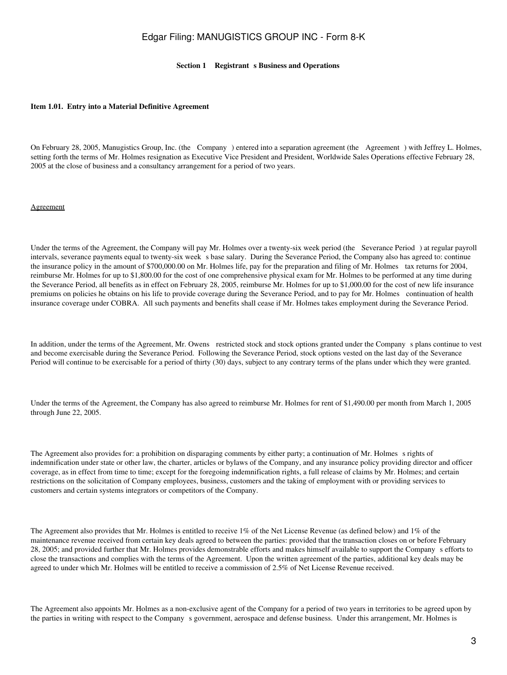#### **Section 1 • Registrant s Business and Operations**

#### **Item 1.01. Entry into a Material Definitive Agreement**

On February 28, 2005, Manugistics Group, Inc. (the Company) entered into a separation agreement (the Agreement) with Jeffrey L. Holmes, setting forth the terms of Mr. Holmes resignation as Executive Vice President and President, Worldwide Sales Operations effective February 28, 2005 at the close of business and a consultancy arrangement for a period of two years.

#### Agreement

Under the terms of the Agreement, the Company will pay Mr. Holmes over a twenty-six week period (the Severance Period) at regular payroll intervals, severance payments equal to twenty-six week s base salary. During the Severance Period, the Company also has agreed to: continue the insurance policy in the amount of \$700,000.00 on Mr. Holmes life, pay for the preparation and filing of Mr. Holmes tax returns for 2004, reimburse Mr. Holmes for up to \$1,800.00 for the cost of one comprehensive physical exam for Mr. Holmes to be performed at any time during the Severance Period, all benefits as in effect on February 28, 2005, reimburse Mr. Holmes for up to \$1,000.00 for the cost of new life insurance premiums on policies he obtains on his life to provide coverage during the Severance Period, and to pay for Mr. Holmes continuation of health insurance coverage under COBRA. All such payments and benefits shall cease if Mr. Holmes takes employment during the Severance Period.

In addition, under the terms of the Agreement, Mr. Owens restricted stock and stock options granted under the Companys plans continue to vest and become exercisable during the Severance Period. Following the Severance Period, stock options vested on the last day of the Severance Period will continue to be exercisable for a period of thirty (30) days, subject to any contrary terms of the plans under which they were granted.

Under the terms of the Agreement, the Company has also agreed to reimburse Mr. Holmes for rent of \$1,490.00 per month from March 1, 2005 through June 22, 2005.

The Agreement also provides for: a prohibition on disparaging comments by either party; a continuation of Mr. Holmes s rights of indemnification under state or other law, the charter, articles or bylaws of the Company, and any insurance policy providing director and officer coverage, as in effect from time to time; except for the foregoing indemnification rights, a full release of claims by Mr. Holmes; and certain restrictions on the solicitation of Company employees, business, customers and the taking of employment with or providing services to customers and certain systems integrators or competitors of the Company.

The Agreement also provides that Mr. Holmes is entitled to receive 1% of the Net License Revenue (as defined below) and 1% of the maintenance revenue received from certain key deals agreed to between the parties: provided that the transaction closes on or before February 28, 2005; and provided further that Mr. Holmes provides demonstrable efforts and makes himself available to support the Companys efforts to close the transactions and complies with the terms of the Agreement. Upon the written agreement of the parties, additional key deals may be agreed to under which Mr. Holmes will be entitled to receive a commission of 2.5% of Net License Revenue received.

The Agreement also appoints Mr. Holmes as a non-exclusive agent of the Company for a period of two years in territories to be agreed upon by the parties in writing with respect to the Company s government, aerospace and defense business. Under this arrangement, Mr. Holmes is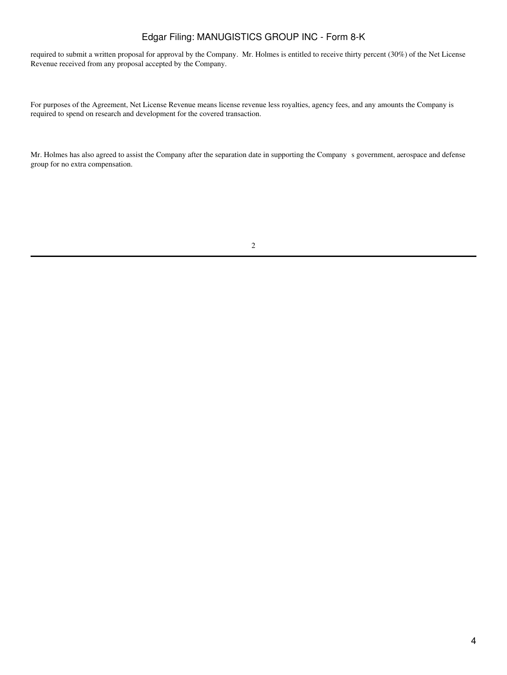required to submit a written proposal for approval by the Company. Mr. Holmes is entitled to receive thirty percent (30%) of the Net License Revenue received from any proposal accepted by the Company.

For purposes of the Agreement, Net License Revenue means license revenue less royalties, agency fees, and any amounts the Company is required to spend on research and development for the covered transaction.

Mr. Holmes has also agreed to assist the Company after the separation date in supporting the Companys government, aerospace and defense group for no extra compensation.